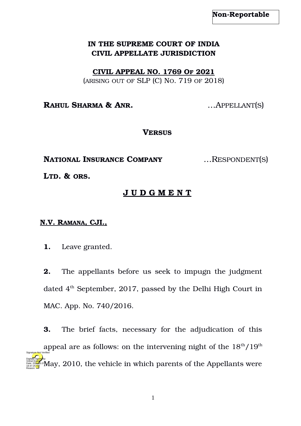## **IN THE SUPREME COURT OF INDIA CIVIL APPELLATE JURISDICTION**

 **CIVIL APPEAL NO. 1769 OF 2021**

(ARISING OUT OF SLP (C) NO. 719 OF 2018)

**RAHUL SHARMA & ANR.** …APPELLANT(S)

## **VERSUS**

**NATIONAL INSURANCE COMPANY** …RESPONDENT(S)

**LTD. & ORS.** 

## **J U D G M E N T**

## **N.V. RAMANA, CJI.,**

**1.** Leave granted.

**2.** The appellants before us seek to impugn the judgment dated  $4<sup>th</sup>$  September, 2017, passed by the Delhi High Court in MAC. App. No. 740/2016.

**3.** The brief facts, necessary for the adjudication of this appeal are as follows: on the intervening night of the  $18<sup>th</sup>/19<sup>th</sup>$  $\rm \tilde{M}$ ay, 2010, the vehicle in which parents of the Appellants were Digitally signed by Vishal Anand Date: 2024-05.07 18:47:25 IST Reason: Signature Not Verified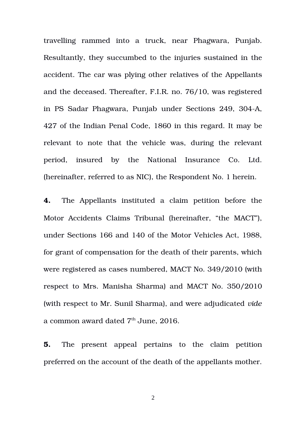travelling rammed into a truck, near Phagwara, Punjab. Resultantly, they succumbed to the injuries sustained in the accident. The car was plying other relatives of the Appellants and the deceased. Thereafter, F.I.R. no. 76/10, was registered in PS Sadar Phagwara, Punjab under Sections 249, 304A, 427 of the Indian Penal Code, 1860 in this regard. It may be relevant to note that the vehicle was, during the relevant period, insured by the National Insurance Co. Ltd. (hereinafter, referred to as NIC), the Respondent No. 1 herein.

**4.** The Appellants instituted a claim petition before the Motor Accidents Claims Tribunal (hereinafter, "the MACT"), under Sections 166 and 140 of the Motor Vehicles Act, 1988, for grant of compensation for the death of their parents, which were registered as cases numbered, MACT No. 349/2010 (with respect to Mrs. Manisha Sharma) and MACT No. 350/2010 (with respect to Mr. Sunil Sharma), and were adjudicated *vide* a common award dated  $7<sup>th</sup>$  June, 2016.

**5.** The present appeal pertains to the claim petition preferred on the account of the death of the appellants mother.

2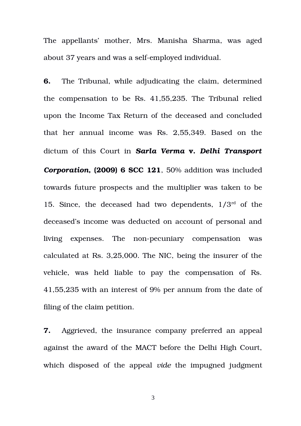The appellants' mother, Mrs. Manisha Sharma, was aged about 37 years and was a self-employed individual.

**6.** The Tribunal, while adjudicating the claim, determined the compensation to be Rs. 41,55,235. The Tribunal relied upon the Income Tax Return of the deceased and concluded that her annual income was Rs. 2,55,349. Based on the dictum of this Court in *Sarla Verma* **v.** *Delhi Transport Corporation***, (2009) 6 SCC 121**, 50% addition was included towards future prospects and the multiplier was taken to be 15. Since, the deceased had two dependents,  $1/3^{rd}$  of the deceased's income was deducted on account of personal and living expenses. The non-pecuniary compensation was calculated at Rs. 3,25,000. The NIC, being the insurer of the vehicle, was held liable to pay the compensation of Rs. 41,55,235 with an interest of 9% per annum from the date of filing of the claim petition.

**7.** Aggrieved, the insurance company preferred an appeal against the award of the MACT before the Delhi High Court, which disposed of the appeal *vide* the impugned judgment

3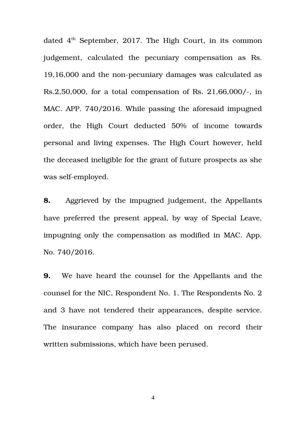dated  $4<sup>th</sup>$  September, 2017. The High Court, in its common judgement, calculated the pecuniary compensation as Rs. 19,16,000 and the non-pecuniary damages was calculated as  $Rs.2,50,000$ , for a total compensation of Rs.  $21.66,000/-$ , in MAC. APP. 740/2016. While passing the aforesaid impugned order, the High Court deducted 50% of income towards personal and living expenses. The High Court however, held the deceased ineligible for the grant of future prospects as she was self-employed.

**8.** Aggrieved by the impugned judgement, the Appellants have preferred the present appeal, by way of Special Leave, impugning only the compensation as modified in MAC. App. No. 740/2016.

**9.** We have heard the counsel for the Appellants and the counsel for the NIC, Respondent No. 1. The Respondents No. 2 and 3 have not tendered their appearances, despite service. The insurance company has also placed on record their written submissions, which have been perused.

4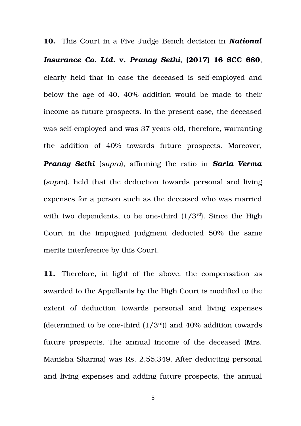**10.** This Court in a Five Judge Bench decision in *National Insurance Co. Ltd.* **v.** *Pranay Sethi*, **(2017) 16 SCC 680**, clearly held that in case the deceased is self-employed and below the age of 40, 40% addition would be made to their income as future prospects. In the present case, the deceased was self-employed and was 37 years old, therefore, warranting the addition of 40% towards future prospects. Moreover, *Pranay Sethi* (*supra*), affirming the ratio in *Sarla Verma* (*supra*), held that the deduction towards personal and living expenses for a person such as the deceased who was married with two dependents, to be one-third  $(1/3<sup>rd</sup>)$ . Since the High Court in the impugned judgment deducted 50% the same merits interference by this Court.

**11.** Therefore, in light of the above, the compensation as awarded to the Appellants by the High Court is modified to the extent of deduction towards personal and living expenses (determined to be one-third  $(1/3<sup>rd</sup>)$ ) and 40% addition towards future prospects. The annual income of the deceased (Mrs. Manisha Sharma) was Rs. 2,55,349. After deducting personal and living expenses and adding future prospects, the annual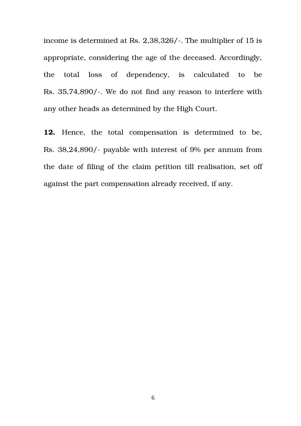income is determined at Rs. 2,38,326/-. The multiplier of 15 is appropriate, considering the age of the deceased. Accordingly, the total loss of dependency, is calculated to be Rs. 35,74,890/. We do not find any reason to interfere with any other heads as determined by the High Court.

12. Hence, the total compensation is determined to be, Rs. 38,24,890/- payable with interest of 9% per annum from the date of filing of the claim petition till realisation, set off against the part compensation already received, if any.